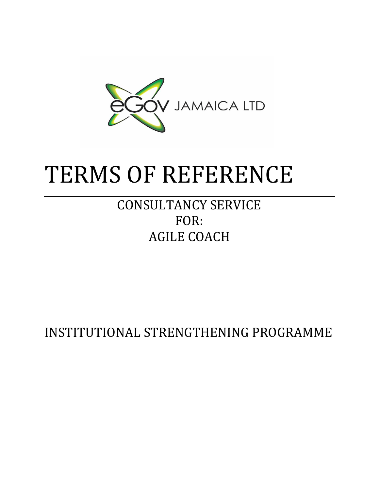

# TERMS OF REFERENCE

# CONSULTANCY SERVICE FOR: AGILE COACH

INSTITUTIONAL STRENGTHENING PROGRAMME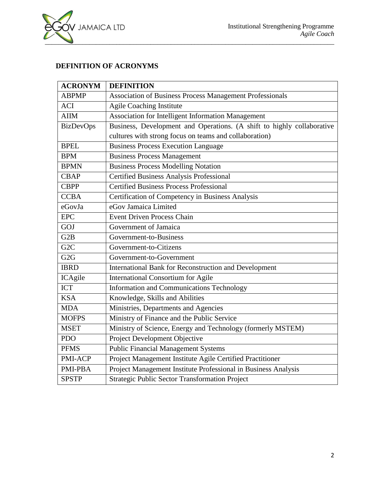

# **DEFINITION OF ACRONYMS**

| <b>ACRONYM</b>   | <b>DEFINITION</b>                                                      |  |
|------------------|------------------------------------------------------------------------|--|
| <b>ABPMP</b>     | <b>Association of Business Process Management Professionals</b>        |  |
| <b>ACI</b>       | <b>Agile Coaching Institute</b>                                        |  |
| <b>AIIM</b>      | Association for Intelligent Information Management                     |  |
| <b>BizDevOps</b> | Business, Development and Operations. (A shift to highly collaborative |  |
|                  | cultures with strong focus on teams and collaboration)                 |  |
| <b>BPEL</b>      | <b>Business Process Execution Language</b>                             |  |
| <b>BPM</b>       | <b>Business Process Management</b>                                     |  |
| <b>BPMN</b>      | <b>Business Process Modelling Notation</b>                             |  |
| <b>CBAP</b>      | <b>Certified Business Analysis Professional</b>                        |  |
| <b>CBPP</b>      | <b>Certified Business Process Professional</b>                         |  |
| <b>CCBA</b>      | Certification of Competency in Business Analysis                       |  |
| eGovJa           | eGov Jamaica Limited                                                   |  |
| <b>EPC</b>       | <b>Event Driven Process Chain</b>                                      |  |
| GOJ              | Government of Jamaica                                                  |  |
| G <sub>2</sub> B | Government-to-Business                                                 |  |
| G <sub>2</sub> C | Government-to-Citizens                                                 |  |
| G2G              | Government-to-Government                                               |  |
| <b>IBRD</b>      | International Bank for Reconstruction and Development                  |  |
| ICAgile          | International Consortium for Agile                                     |  |
| <b>ICT</b>       | Information and Communications Technology                              |  |
| <b>KSA</b>       | Knowledge, Skills and Abilities                                        |  |
| <b>MDA</b>       | Ministries, Departments and Agencies                                   |  |
| <b>MOFPS</b>     | Ministry of Finance and the Public Service                             |  |
| <b>MSET</b>      | Ministry of Science, Energy and Technology (formerly MSTEM)            |  |
| <b>PDO</b>       | Project Development Objective                                          |  |
| <b>PFMS</b>      | <b>Public Financial Management Systems</b>                             |  |
| PMI-ACP          | Project Management Institute Agile Certified Practitioner              |  |
| PMI-PBA          | Project Management Institute Professional in Business Analysis         |  |
| <b>SPSTP</b>     | Strategic Public Sector Transformation Project                         |  |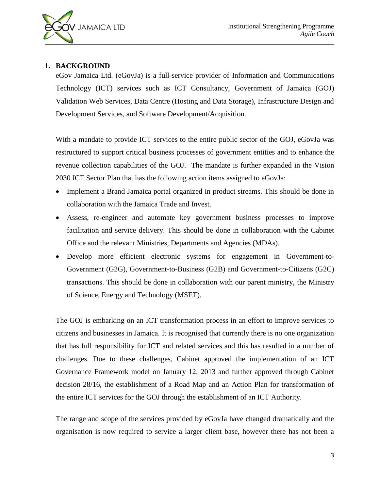

# **1. BACKGROUND**

eGov Jamaica Ltd. (eGovJa) is a full-service provider of Information and Communications Technology (ICT) services such as ICT Consultancy, Government of Jamaica (GOJ) Validation Web Services, Data Centre (Hosting and Data Storage), Infrastructure Design and Development Services, and Software Development/Acquisition.

With a mandate to provide ICT services to the entire public sector of the GOJ, eGovJa was restructured to support critical business processes of government entities and to enhance the revenue collection capabilities of the GOJ. The mandate is further expanded in the Vision 2030 ICT Sector Plan that has the following action items assigned to eGovJa:

- Implement a Brand Jamaica portal organized in product streams. This should be done in collaboration with the Jamaica Trade and Invest.
- Assess, re-engineer and automate key government business processes to improve facilitation and service delivery. This should be done in collaboration with the Cabinet Office and the relevant Ministries, Departments and Agencies (MDAs).
- Develop more efficient electronic systems for engagement in Government-to-Government (G2G), Government-to-Business (G2B) and Government-to-Citizens (G2C) transactions. This should be done in collaboration with our parent ministry, the Ministry of Science, Energy and Technology (MSET).

The GOJ is embarking on an ICT transformation process in an effort to improve services to citizens and businesses in Jamaica. It is recognised that currently there is no one organization that has full responsibility for ICT and related services and this has resulted in a number of challenges. Due to these challenges, Cabinet approved the implementation of an ICT Governance Framework model on January 12, 2013 and further approved through Cabinet decision 28/16, the establishment of a Road Map and an Action Plan for transformation of the entire ICT services for the GOJ through the establishment of an ICT Authority.

The range and scope of the services provided by eGovJa have changed dramatically and the organisation is now required to service a larger client base, however there has not been a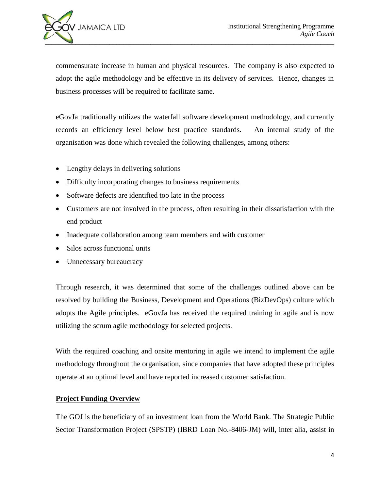

commensurate increase in human and physical resources. The company is also expected to adopt the agile methodology and be effective in its delivery of services. Hence, changes in business processes will be required to facilitate same.

eGovJa traditionally utilizes the waterfall software development methodology, and currently records an efficiency level below best practice standards. An internal study of the organisation was done which revealed the following challenges, among others:

- Lengthy delays in delivering solutions
- Difficulty incorporating changes to business requirements
- Software defects are identified too late in the process
- Customers are not involved in the process, often resulting in their dissatisfaction with the end product
- Inadequate collaboration among team members and with customer
- Silos across functional units
- Unnecessary bureaucracy

Through research, it was determined that some of the challenges outlined above can be resolved by building the Business, Development and Operations (BizDevOps) culture which adopts the Agile principles. eGovJa has received the required training in agile and is now utilizing the scrum agile methodology for selected projects.

With the required coaching and onsite mentoring in agile we intend to implement the agile methodology throughout the organisation, since companies that have adopted these principles operate at an optimal level and have reported increased customer satisfaction.

#### **Project Funding Overview**

The GOJ is the beneficiary of an investment loan from the World Bank. The Strategic Public Sector Transformation Project (SPSTP) (IBRD Loan No.-8406-JM) will, inter alia, assist in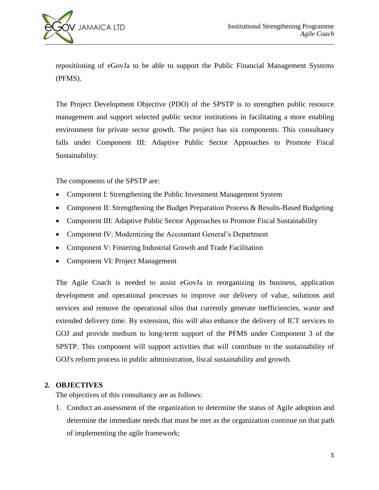

repositioning of eGovJa to be able to support the Public Financial Management Systems (PFMS).

The Project Development Objective (PDO) of the SPSTP is to strengthen public resource management and support selected public sector institutions in facilitating a more enabling environment for private sector growth. The project has six components. This consultancy falls under Component III: Adaptive Public Sector Approaches to Promote Fiscal Sustainability.

The components of the SPSTP are:

- Component I: Strengthening the Public Investment Management System
- Component II: Strengthening the Budget Preparation Process & Results-Based Budgeting
- Component III: Adaptive Public Sector Approaches to Promote Fiscal Sustainability
- Component IV: Modernizing the Accountant General's Department
- Component V: Fostering Industrial Growth and Trade Facilitation
- Component VI: Project Management

The Agile Coach is needed to assist eGovJa in reorganizing its business, application development and operational processes to improve our delivery of value, solutions and services and remove the operational silos that currently generate inefficiencies, waste and extended delivery time. By extension, this will also enhance the delivery of ICT services to GOJ and provide medium to long-term support of the PFMS under Component 3 of the SPSTP. This component will support activities that will contribute to the sustainability of GOJ's reform process in public administration, fiscal sustainability and growth.

#### **2. OBJECTIVES**

The objectives of this consultancy are as follows:

1. Conduct an assessment of the organization to determine the status of Agile adoption and determine the immediate needs that must be met as the organization continue on that path of implementing the agile framework;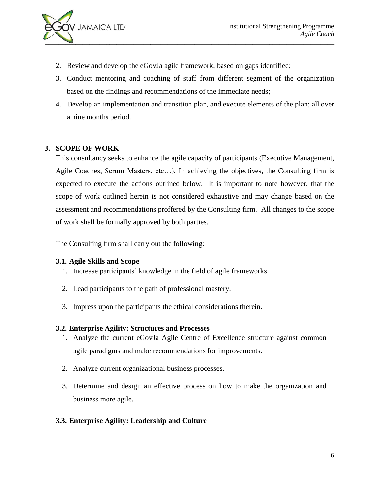

- 2. Review and develop the eGovJa agile framework, based on gaps identified;
- 3. Conduct mentoring and coaching of staff from different segment of the organization based on the findings and recommendations of the immediate needs;
- 4. Develop an implementation and transition plan, and execute elements of the plan; all over a nine months period.

# **3. SCOPE OF WORK**

This consultancy seeks to enhance the agile capacity of participants (Executive Management, Agile Coaches, Scrum Masters, etc…). In achieving the objectives, the Consulting firm is expected to execute the actions outlined below. It is important to note however, that the scope of work outlined herein is not considered exhaustive and may change based on the assessment and recommendations proffered by the Consulting firm. All changes to the scope of work shall be formally approved by both parties.

The Consulting firm shall carry out the following:

# **3.1. Agile Skills and Scope**

- 1. Increase participants' knowledge in the field of agile frameworks.
- 2. Lead participants to the path of professional mastery.
- 3. Impress upon the participants the ethical considerations therein.

#### **3.2. Enterprise Agility: Structures and Processes**

- 1. Analyze the current eGovJa Agile Centre of Excellence structure against common agile paradigms and make recommendations for improvements.
- 2. Analyze current organizational business processes.
- 3. Determine and design an effective process on how to make the organization and business more agile.

# **3.3. Enterprise Agility: Leadership and Culture**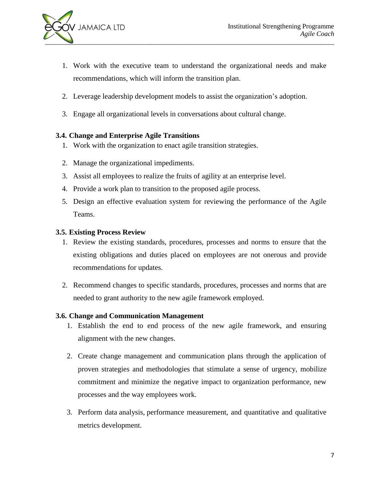

- 1. Work with the executive team to understand the organizational needs and make recommendations, which will inform the transition plan.
- 2. Leverage leadership development models to assist the organization's adoption.
- 3. Engage all organizational levels in conversations about cultural change.

#### **3.4. Change and Enterprise Agile Transitions**

- 1. Work with the organization to enact agile transition strategies.
- 2. Manage the organizational impediments.
- 3. Assist all employees to realize the fruits of agility at an enterprise level.
- 4. Provide a work plan to transition to the proposed agile process.
- 5. Design an effective evaluation system for reviewing the performance of the Agile Teams.

#### **3.5. Existing Process Review**

- 1. Review the existing standards, procedures, processes and norms to ensure that the existing obligations and duties placed on employees are not onerous and provide recommendations for updates.
- 2. Recommend changes to specific standards, procedures, processes and norms that are needed to grant authority to the new agile framework employed.

#### **3.6. Change and Communication Management**

- 1. Establish the end to end process of the new agile framework, and ensuring alignment with the new changes.
- 2. Create change management and communication plans through the application of proven strategies and methodologies that stimulate a sense of urgency, mobilize commitment and minimize the negative impact to organization performance, new processes and the way employees work.
- 3. Perform data analysis, performance measurement, and quantitative and qualitative metrics development.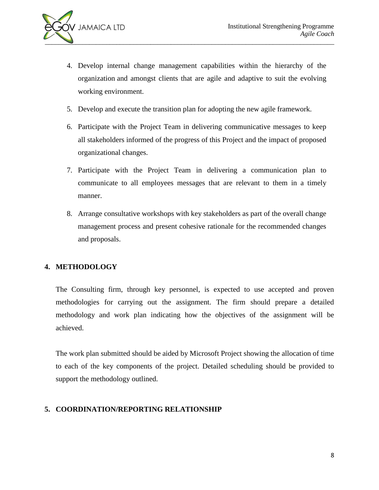

- 4. Develop internal change management capabilities within the hierarchy of the organization and amongst clients that are agile and adaptive to suit the evolving working environment.
- 5. Develop and execute the transition plan for adopting the new agile framework.
- 6. Participate with the Project Team in delivering communicative messages to keep all stakeholders informed of the progress of this Project and the impact of proposed organizational changes.
- 7. Participate with the Project Team in delivering a communication plan to communicate to all employees messages that are relevant to them in a timely manner.
- 8. Arrange consultative workshops with key stakeholders as part of the overall change management process and present cohesive rationale for the recommended changes and proposals.

# **4. METHODOLOGY**

The Consulting firm, through key personnel, is expected to use accepted and proven methodologies for carrying out the assignment. The firm should prepare a detailed methodology and work plan indicating how the objectives of the assignment will be achieved.

The work plan submitted should be aided by Microsoft Project showing the allocation of time to each of the key components of the project. Detailed scheduling should be provided to support the methodology outlined.

#### **5. COORDINATION/REPORTING RELATIONSHIP**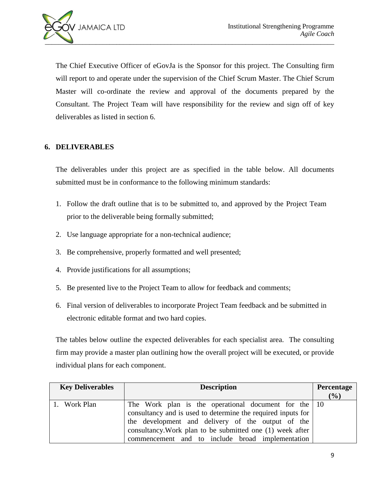

The Chief Executive Officer of eGovJa is the Sponsor for this project. The Consulting firm will report to and operate under the supervision of the Chief Scrum Master. The Chief Scrum Master will co-ordinate the review and approval of the documents prepared by the Consultant. The Project Team will have responsibility for the review and sign off of key deliverables as listed in section 6.

#### **6. DELIVERABLES**

The deliverables under this project are as specified in the table below. All documents submitted must be in conformance to the following minimum standards:

- 1. Follow the draft outline that is to be submitted to, and approved by the Project Team prior to the deliverable being formally submitted;
- 2. Use language appropriate for a non-technical audience;
- 3. Be comprehensive, properly formatted and well presented;
- 4. Provide justifications for all assumptions;
- 5. Be presented live to the Project Team to allow for feedback and comments;
- 6. Final version of deliverables to incorporate Project Team feedback and be submitted in electronic editable format and two hard copies.

The tables below outline the expected deliverables for each specialist area. The consulting firm may provide a master plan outlining how the overall project will be executed, or provide individual plans for each component.

| <b>Key Deliverables</b> | <b>Description</b>                                                                                                                                                                                                                                                                                 | Percentage |
|-------------------------|----------------------------------------------------------------------------------------------------------------------------------------------------------------------------------------------------------------------------------------------------------------------------------------------------|------------|
|                         |                                                                                                                                                                                                                                                                                                    | (%)        |
| 1. Work Plan            | The Work plan is the operational document for the $\vert$ 10<br>consultancy and is used to determine the required inputs for<br>the development and delivery of the output of the<br>consultancy. Work plan to be submitted one (1) week after<br>commencement and to include broad implementation |            |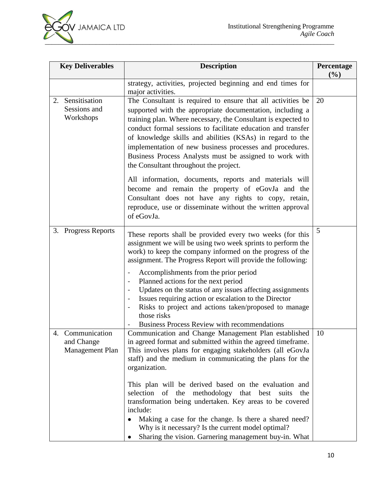

| <b>Key Deliverables</b>                                  | <b>Description</b>                                                                                                                                                                                                                                                                                                                                                                                                                                                                                                                                                                                                                                                                     | Percentage<br>(%) |
|----------------------------------------------------------|----------------------------------------------------------------------------------------------------------------------------------------------------------------------------------------------------------------------------------------------------------------------------------------------------------------------------------------------------------------------------------------------------------------------------------------------------------------------------------------------------------------------------------------------------------------------------------------------------------------------------------------------------------------------------------------|-------------------|
|                                                          | strategy, activities, projected beginning and end times for<br>major activities.                                                                                                                                                                                                                                                                                                                                                                                                                                                                                                                                                                                                       |                   |
| Sensitisation<br>2.<br>Sessions and<br>Workshops         | The Consultant is required to ensure that all activities be<br>supported with the appropriate documentation, including a<br>training plan. Where necessary, the Consultant is expected to<br>conduct formal sessions to facilitate education and transfer<br>of knowledge skills and abilities (KSAs) in regard to the<br>implementation of new business processes and procedures.<br>Business Process Analysts must be assigned to work with<br>the Consultant throughout the project.                                                                                                                                                                                                | 20                |
|                                                          | All information, documents, reports and materials will<br>become and remain the property of eGovJa and the<br>Consultant does not have any rights to copy, retain,<br>reproduce, use or disseminate without the written approval<br>of eGovJa.                                                                                                                                                                                                                                                                                                                                                                                                                                         |                   |
| 3. Progress Reports                                      | These reports shall be provided every two weeks (for this<br>assignment we will be using two week sprints to perform the<br>work) to keep the company informed on the progress of the<br>assignment. The Progress Report will provide the following:<br>Accomplishments from the prior period<br>-<br>Planned actions for the next period<br>$\overline{\phantom{0}}$<br>Updates on the status of any issues affecting assignments<br>Issues requiring action or escalation to the Director<br>$\overline{\phantom{a}}$<br>Risks to project and actions taken/proposed to manage<br>$\qquad \qquad \blacksquare$<br>those risks<br><b>Business Process Review with recommendations</b> | 5                 |
| 4. Communication<br>and Change<br><b>Management Plan</b> | Communication and Change Management Plan established<br>in agreed format and submitted within the agreed timeframe.<br>This involves plans for engaging stakeholders (all eGovJa<br>staff) and the medium in communicating the plans for the<br>organization.<br>This plan will be derived based on the evaluation and<br>selection<br>methodology that best<br>of<br>the<br>suits<br>the<br>transformation being undertaken. Key areas to be covered<br>include:<br>Making a case for the change. Is there a shared need?<br>$\bullet$<br>Why is it necessary? Is the current model optimal?<br>Sharing the vision. Garnering management buy-in. What                                 | 10                |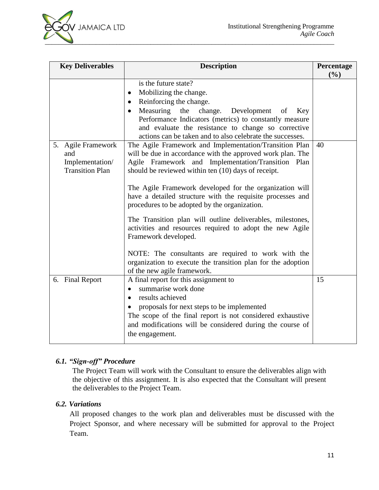

| <b>Key Deliverables</b>                                                | <b>Description</b>                                                                                                                                                                                                                                                                           | Percentage |
|------------------------------------------------------------------------|----------------------------------------------------------------------------------------------------------------------------------------------------------------------------------------------------------------------------------------------------------------------------------------------|------------|
|                                                                        |                                                                                                                                                                                                                                                                                              | (%)        |
|                                                                        | is the future state?<br>Mobilizing the change.<br>$\bullet$<br>Reinforcing the change.<br>٠<br>Measuring<br>the<br>change.<br>Key<br>Development<br>of                                                                                                                                       |            |
|                                                                        | Performance Indicators (metrics) to constantly measure<br>and evaluate the resistance to change so corrective<br>actions can be taken and to also celebrate the successes.                                                                                                                   |            |
| 5. Agile Framework<br>and<br>Implementation/<br><b>Transition Plan</b> | The Agile Framework and Implementation/Transition Plan<br>will be due in accordance with the approved work plan. The<br>Agile Framework and Implementation/Transition Plan<br>should be reviewed within ten (10) days of receipt.<br>The Agile Framework developed for the organization will | 40         |
|                                                                        | have a detailed structure with the requisite processes and<br>procedures to be adopted by the organization.                                                                                                                                                                                  |            |
|                                                                        | The Transition plan will outline deliverables, milestones,<br>activities and resources required to adopt the new Agile<br>Framework developed.                                                                                                                                               |            |
|                                                                        | NOTE: The consultants are required to work with the<br>organization to execute the transition plan for the adoption<br>of the new agile framework.                                                                                                                                           |            |
| 6. Final Report                                                        | A final report for this assignment to<br>summarise work done<br>$\bullet$<br>results achieved<br>proposals for next steps to be implemented                                                                                                                                                  | 15         |
|                                                                        | The scope of the final report is not considered exhaustive<br>and modifications will be considered during the course of<br>the engagement.                                                                                                                                                   |            |

#### *6.1. "Sign-off" Procedure*

The Project Team will work with the Consultant to ensure the deliverables align with the objective of this assignment. It is also expected that the Consultant will present the deliverables to the Project Team.

#### *6.2. Variations*

All proposed changes to the work plan and deliverables must be discussed with the Project Sponsor, and where necessary will be submitted for approval to the Project Team.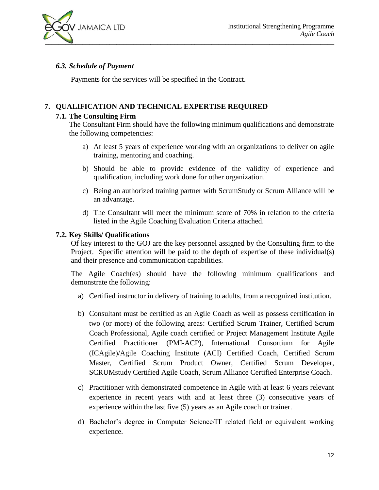

#### *6.3. Schedule of Payment*

Payments for the services will be specified in the Contract.

#### **7. QUALIFICATION AND TECHNICAL EXPERTISE REQUIRED**

#### **7.1. The Consulting Firm**

The Consultant Firm should have the following minimum qualifications and demonstrate the following competencies:

- a) At least 5 years of experience working with an organizations to deliver on agile training, mentoring and coaching.
- b) Should be able to provide evidence of the validity of experience and qualification, including work done for other organization.
- c) Being an authorized training partner with ScrumStudy or Scrum Alliance will be an advantage.
- d) The Consultant will meet the minimum score of 70% in relation to the criteria listed in the Agile Coaching Evaluation Criteria attached.

#### **7.2. Key Skills/ Qualifications**

Of key interest to the GOJ are the key personnel assigned by the Consulting firm to the Project. Specific attention will be paid to the depth of expertise of these individual(s) and their presence and communication capabilities.

The Agile Coach(es) should have the following minimum qualifications and demonstrate the following:

- a) Certified instructor in delivery of training to adults, from a recognized institution.
- b) Consultant must be certified as an Agile Coach as well as possess certification in two (or more) of the following areas: Certified Scrum Trainer, Certified Scrum Coach Professional, Agile coach certified or Project Management Institute Agile Certified Practitioner (PMI-ACP), International Consortium for Agile (ICAgile)/Agile Coaching Institute (ACI) Certified Coach, Certified Scrum Master, Certified Scrum Product Owner, Certified Scrum Developer, SCRUMstudy Certified Agile Coach, Scrum Alliance Certified Enterprise Coach.
- c) Practitioner with demonstrated competence in Agile with at least 6 years relevant experience in recent years with and at least three (3) consecutive years of experience within the last five (5) years as an Agile coach or trainer.
- d) Bachelor's degree in Computer Science/IT related field or equivalent working experience.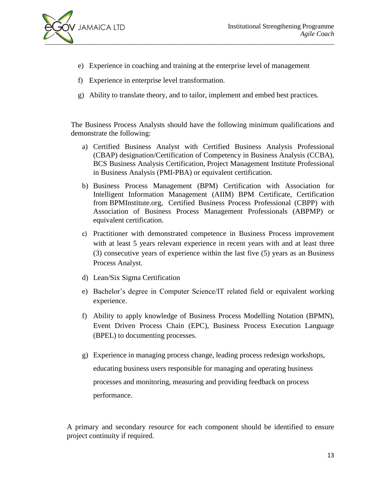

- e) Experience in coaching and training at the enterprise level of management
- f) Experience in enterprise level transformation.
- g) Ability to translate theory, and to tailor, implement and embed best practices.

The Business Process Analysts should have the following minimum qualifications and demonstrate the following:

- a) Certified Business Analyst with Certified Business Analysis Professional [\(CBAP\) designation/Certification of Competency in Business Analysis](http://businessanalystlearnings.com/blog/2012/12/20/business-analyst-certifications-iibas-cbapccba-or-bcs-business-analyst-certification) (CCBA), [BCS Business Analysis](http://businessanalystlearnings.com/blog/2012/12/20/business-analyst-certifications-iibas-cbapccba-or-bcs-business-analyst-certification) Certification, Project Management Institute Professional in Business Analysis [\(PMI-PBA\)](http://businessanalystlearnings.com/business-analyst-career/2015/4/18/getting-up-to-speed-with-the-pmi-professional-in-business-analysis-certification) or equivalent certification.
- b) Business Process Management (BPM) Certification with Association for Intelligent Information Management (AIIM) [BPM Certificate,](http://www.aiim.org/Training/Certificate-Courses/Business-Process-Management) Certification from [BPMInstitute.org,](http://www.bpminstitute.org/certification) [Certified Business Process Professional \(CBPP\)](http://www.abpmp.org/?page=certification_home) with Association of Business Process Management Professionals (ABPMP) or equivalent certification.
- c) Practitioner with demonstrated competence in Business Process improvement with at least 5 years relevant experience in recent years with and at least three (3) consecutive years of experience within the last five (5) years as an Business Process Analyst.
- d) Lean/Six Sigma Certification
- e) Bachelor's degree in Computer Science/IT related field or equivalent working experience.
- f) Ability to apply knowledge of Business Process Modelling Notation (BPMN), Event Driven Process Chain (EPC), Business Process Execution Language (BPEL) to documenting processes.
- g) Experience in managing process change, leading process redesign workshops, educating business users responsible for managing and operating business processes and monitoring, measuring and providing feedback on process performance.

A primary and secondary resource for each component should be identified to ensure project continuity if required.